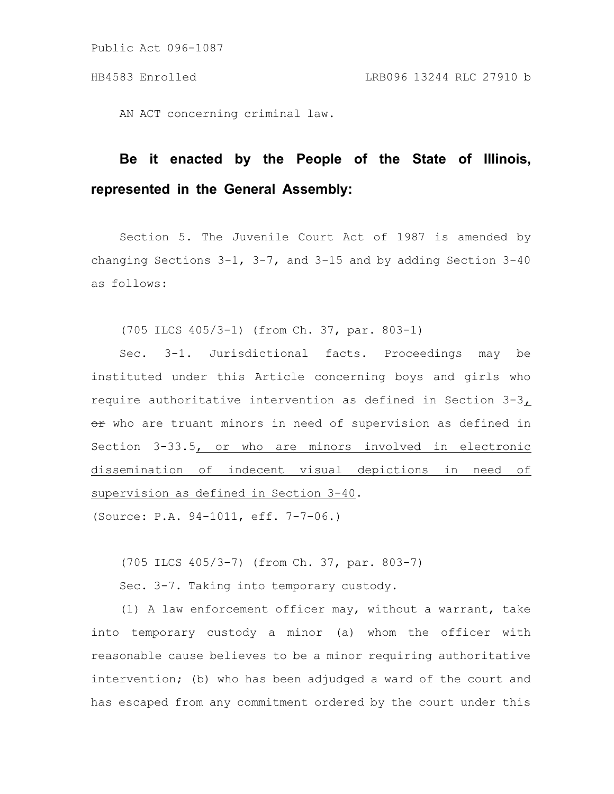AN ACT concerning criminal law.

## **Be it enacted by the People of the State of Illinois, represented in the General Assembly:**

Section 5. The Juvenile Court Act of 1987 is amended by changing Sections  $3-1$ ,  $3-7$ , and  $3-15$  and by adding Section  $3-40$ as follows:

(705 ILCS 405/3-1) (from Ch. 37, par. 803-1)

Sec. 3-1. Jurisdictional facts. Proceedings may be instituted under this Article concerning boys and girls who require authoritative intervention as defined in Section 3-3,  $e$  who are truant minors in need of supervision as defined in Section 3-33.5, or who are minors involved in electronic dissemination of indecent visual depictions in need of supervision as defined in Section 3-40.

(Source: P.A. 94-1011, eff. 7-7-06.)

(705 ILCS 405/3-7) (from Ch. 37, par. 803-7)

Sec. 3-7. Taking into temporary custody.

(1) A law enforcement officer may, without a warrant, take into temporary custody a minor (a) whom the officer with reasonable cause believes to be a minor requiring authoritative intervention; (b) who has been adjudged a ward of the court and has escaped from any commitment ordered by the court under this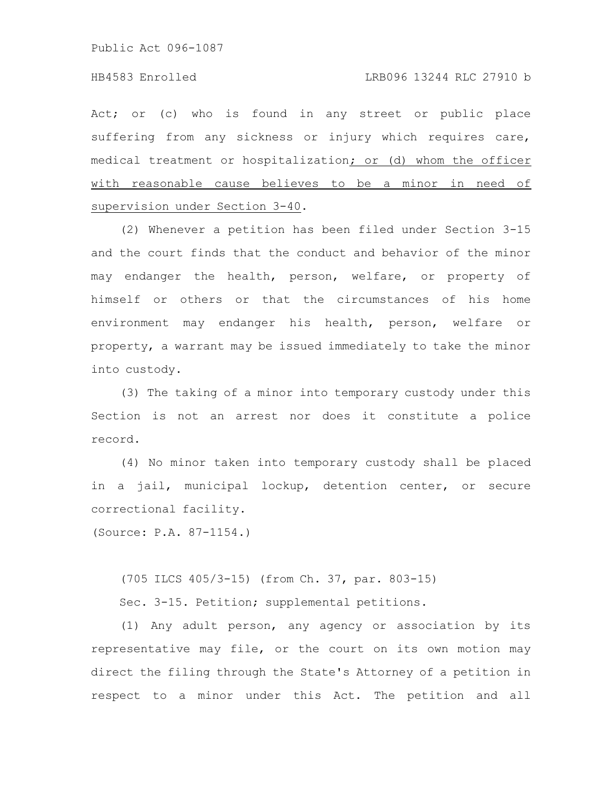## HB4583 Enrolled LRB096 13244 RLC 27910 b

Act; or (c) who is found in any street or public place suffering from any sickness or injury which requires care, medical treatment or hospitalization; or (d) whom the officer with reasonable cause believes to be a minor in need of supervision under Section 3-40.

(2) Whenever a petition has been filed under Section 3-15 and the court finds that the conduct and behavior of the minor may endanger the health, person, welfare, or property of himself or others or that the circumstances of his home environment may endanger his health, person, welfare or property, a warrant may be issued immediately to take the minor into custody.

(3) The taking of a minor into temporary custody under this Section is not an arrest nor does it constitute a police record.

(4) No minor taken into temporary custody shall be placed in a jail, municipal lockup, detention center, or secure correctional facility.

(Source: P.A. 87-1154.)

(705 ILCS 405/3-15) (from Ch. 37, par. 803-15)

Sec. 3-15. Petition; supplemental petitions.

(1) Any adult person, any agency or association by its representative may file, or the court on its own motion may direct the filing through the State's Attorney of a petition in respect to a minor under this Act. The petition and all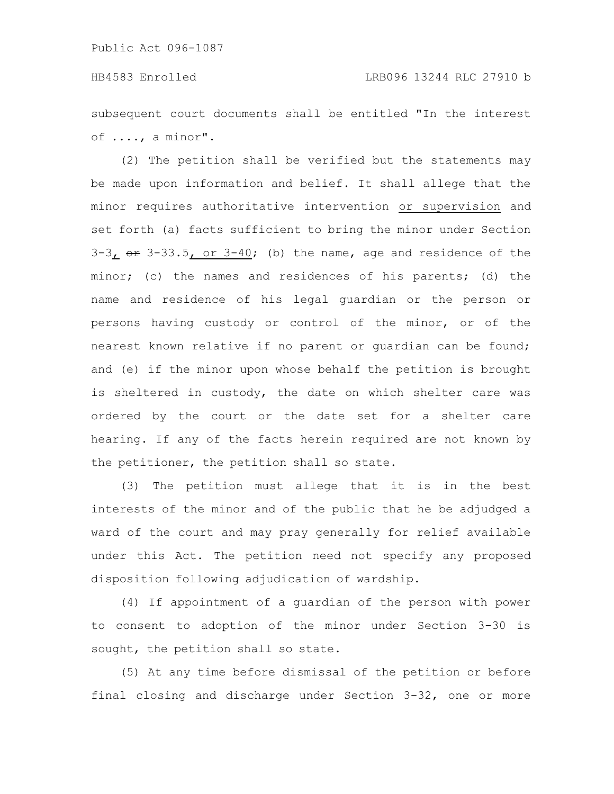subsequent court documents shall be entitled "In the interest of ...., a minor".

(2) The petition shall be verified but the statements may be made upon information and belief. It shall allege that the minor requires authoritative intervention or supervision and set forth (a) facts sufficient to bring the minor under Section  $3-3$ ,  $\theta$   $\theta$   $3-33.5$ , or  $3-40$ ; (b) the name, age and residence of the minor; (c) the names and residences of his parents; (d) the name and residence of his legal guardian or the person or persons having custody or control of the minor, or of the nearest known relative if no parent or guardian can be found; and (e) if the minor upon whose behalf the petition is brought is sheltered in custody, the date on which shelter care was ordered by the court or the date set for a shelter care hearing. If any of the facts herein required are not known by the petitioner, the petition shall so state.

(3) The petition must allege that it is in the best interests of the minor and of the public that he be adjudged a ward of the court and may pray generally for relief available under this Act. The petition need not specify any proposed disposition following adjudication of wardship.

(4) If appointment of a guardian of the person with power to consent to adoption of the minor under Section 3-30 is sought, the petition shall so state.

(5) At any time before dismissal of the petition or before final closing and discharge under Section 3-32, one or more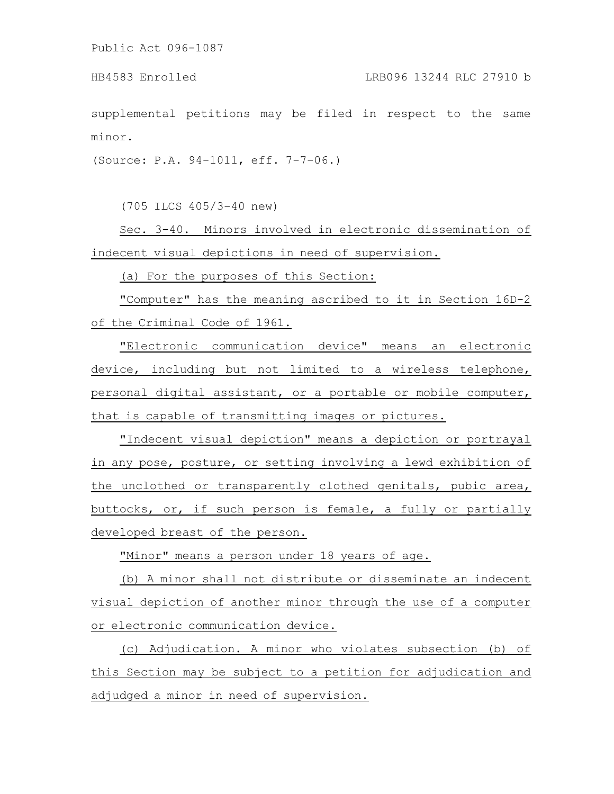supplemental petitions may be filed in respect to the same minor.

(Source: P.A. 94-1011, eff. 7-7-06.)

(705 ILCS 405/3-40 new)

Sec. 3-40. Minors involved in electronic dissemination of indecent visual depictions in need of supervision.

(a) For the purposes of this Section:

"Computer" has the meaning ascribed to it in Section 16D-2 of the Criminal Code of 1961.

"Electronic communication device" means an electronic device, including but not limited to a wireless telephone, personal digital assistant, or a portable or mobile computer, that is capable of transmitting images or pictures.

"Indecent visual depiction" means a depiction or portrayal in any pose, posture, or setting involving a lewd exhibition of the unclothed or transparently clothed genitals, pubic area, buttocks, or, if such person is female, a fully or partially developed breast of the person.

"Minor" means a person under 18 years of age.

(b) A minor shall not distribute or disseminate an indecent visual depiction of another minor through the use of a computer or electronic communication device.

(c) Adjudication. A minor who violates subsection (b) of this Section may be subject to a petition for adjudication and adjudged a minor in need of supervision.